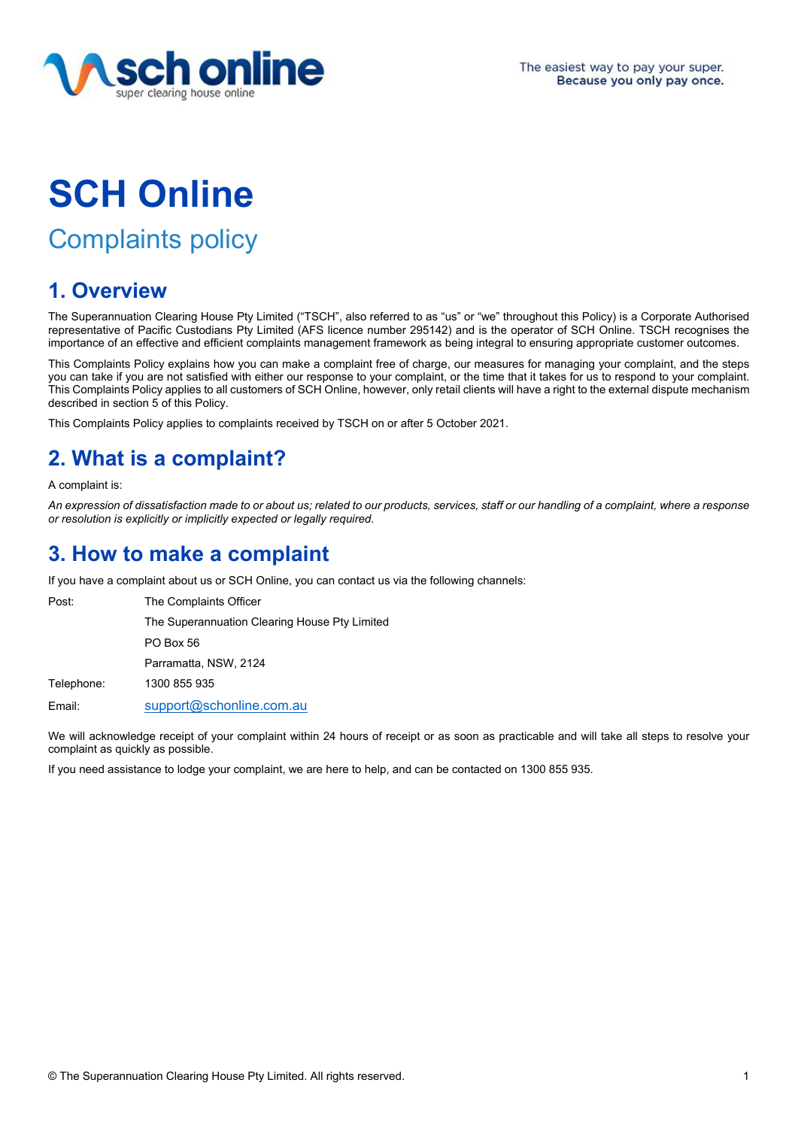

# **SCH Online**

## Complaints policy

## **1. Overview**

The Superannuation Clearing House Pty Limited ("TSCH", also referred to as "us" or "we" throughout this Policy) is a Corporate Authorised representative of Pacific Custodians Pty Limited (AFS licence number 295142) and is the operator of SCH Online. TSCH recognises the importance of an effective and efficient complaints management framework as being integral to ensuring appropriate customer outcomes.

This Complaints Policy explains how you can make a complaint free of charge, our measures for managing your complaint, and the steps you can take if you are not satisfied with either our response to your complaint, or the time that it takes for us to respond to your complaint. This Complaints Policy applies to all customers of SCH Online, however, only retail clients will have a right to the external dispute mechanism described in section 5 of this Policy.

This Complaints Policy applies to complaints received by TSCH on or after 5 October 2021.

## **2. What is a complaint?**

A complaint is:

*An expression of dissatisfaction made to or about us; related to our products, services, staff or our handling of a complaint, where a response or resolution is explicitly or implicitly expected or legally required.* 

## **3. How to make a complaint**

If you have a complaint about us or SCH Online, you can contact us via the following channels:

| Post:      | The Complaints Officer                        |
|------------|-----------------------------------------------|
|            | The Superannuation Clearing House Pty Limited |
|            | PO Box 56                                     |
|            | Parramatta, NSW, 2124                         |
| Telephone: | 1300 855 935                                  |
| Email:     | support@schonline.com.au                      |

We will acknowledge receipt of your complaint within 24 hours of receipt or as soon as practicable and will take all steps to resolve your complaint as quickly as possible.

If you need assistance to lodge your complaint, we are here to help, and can be contacted on 1300 855 935.